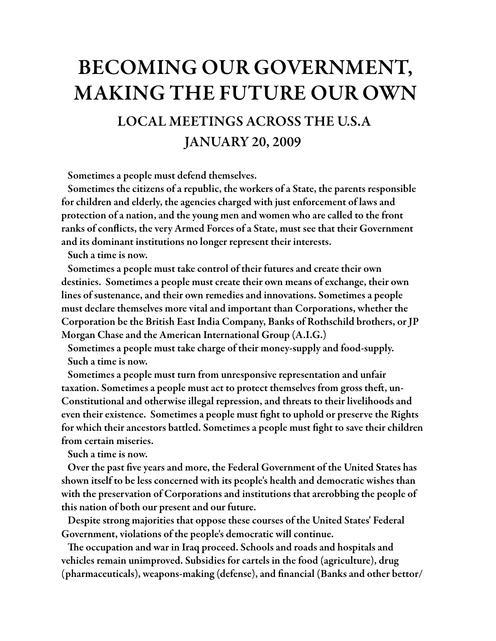## BECOMING OUR GOVERNMENT, MAKING THE FUTURE OUR OWN

## LOCAL MEETINGS ACROSS THE U.S.A JANUARY 20, 2009

Sometimes a people must defend themselves.

 Sometimes the citizens of a republic, the workers of a State, the parents responsible for children and elderly, the agencies charged with just enforcement of laws and protection of a nation, and the young men and women who are called to the front ranks of conflicts, the very Armed Forces of a State, must see that their Government and its dominant institutions no longer represent their interests.

Such a time is now.

 Sometimes a people must take control of their futures and create their own destinies. Sometimes a people must create their own means of exchange, their own lines of sustenance, and their own remedies and innovations. Sometimes a people must declare themselves more vital and important than Corporations, whether the Corporation be the British East India Company, Banks of Rothschild brothers, or JP Morgan Chase and the American International Group (A.I.G.)

 Sometimes a people must take charge of their money-supply and food-supply. Such a time is now.

 Sometimes a people must turn from unresponsive representation and unfair taxation. Sometimes a people must act to protect themselves from gross theft, un-Constitutional and otherwise illegal repression, and threats to their livelihoods and even their existence. Sometimes a people must #ght to uphold or preserve the Rights for which their ancestors battled. Sometimes a people must #ght to save their children from certain miseries.

Such a time is now.

Over the past five years and more, the Federal Government of the United States has shown itself to be less concerned with its people's health and democratic wishes than with the preservation of Corporations and institutions that arerobbing the people of this nation of both our present and our future.

 Despite strong majorities that oppose these courses of the United States' Federal Government, violations of the people's democratic will continue.

The occupation and war in Iraq proceed. Schools and roads and hospitals and vehicles remain unimproved. Subsidies for cartels in the food (agriculture), drug  $(pharmaccuticals)$ , weapons-making (defense), and financial (Banks and other bettor/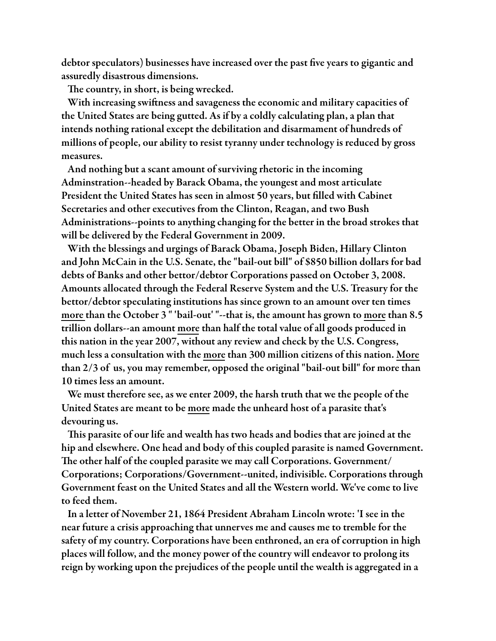debtor speculators) businesses have increased over the past five years to gigantic and assuredly disastrous dimensions.

The country, in short, is being wrecked.

With increasing swiftness and savageness the economic and military capacities of the United States are being gutted. As if by a coldly calculating plan, a plan that intends nothing rational except the debilitation and disarmament of hundreds of millions of people, our ability to resist tyranny under technology is reduced by gross measures.

 And nothing but a scant amount of surviving rhetoric in the incoming Adminstration--headed by Barack Obama, the youngest and most articulate President the United States has seen in almost 50 years, but filled with Cabinet Secretaries and other executives from the Clinton, Reagan, and two Bush Administrations--points to anything changing for the better in the broad strokes that will be delivered by the Federal Government in 2009.

 With the blessings and urgings of Barack Obama, Joseph Biden, Hillary Clinton and John McCain in the U.S. Senate, the "bail-out bill" of \$850 billion dollars for bad debts of Banks and other bettor/debtor Corporations passed on October 3, 2008. Amounts allocated through the Federal Reserve System and the U.S. Treasury for the bettor/debtor speculating institutions has since grown to an amount over ten times more than the October 3 " 'bail-out' "--that is, the amount has grown to more than 8.5 trillion dollars--an amount more than half the total value of all goods produced in this nation in the year 2007, without any review and check by the U.S. Congress, much less a consultation with the more than 300 million citizens of this nation. More than 2/3 of us, you may remember, opposed the original "bail-out bill" for more than 10 times less an amount.

 We must therefore see, as we enter 2009, the harsh truth that we the people of the United States are meant to be more made the unheard host of a parasite that's devouring us.

This parasite of our life and wealth has two heads and bodies that are joined at the hip and elsewhere. One head and body of this coupled parasite is named Government. The other half of the coupled parasite we may call Corporations. Government/ Corporations; Corporations/Government--united, indivisible. Corporations through Government feast on the United States and all the Western world. We've come to live to feed them.

 In a letter of November 21, 1864 President Abraham Lincoln wrote: 'I see in the near future a crisis approaching that unnerves me and causes me to tremble for the safety of my country. Corporations have been enthroned, an era of corruption in high places will follow, and the money power of the country will endeavor to prolong its reign by working upon the prejudices of the people until the wealth is aggregated in a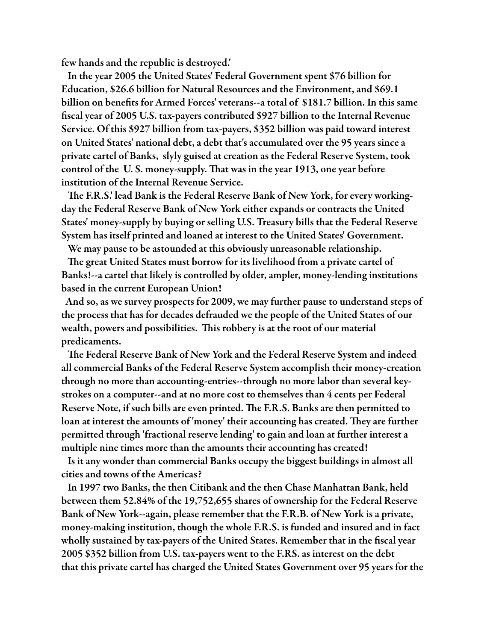few hands and the republic is destroyed.'

 In the year 2005 the United States' Federal Government spent \$76 billion for Education, \$26.6 billion for Natural Resources and the Environment, and \$69.1 billion on benefits for Armed Forces' veterans--a total of \$181.7 billion. In this same fiscal year of 2005 U.S. tax-payers contributed \$927 billion to the Internal Revenue Service. Of this \$927 billion from tax-payers, \$352 billion was paid toward interest on United States' national debt, a debt that's accumulated over the 95 years since a private cartel of Banks, slyly guised at creation as the Federal Reserve System, took control of the U.S. money-supply. That was in the year 1913, one year before institution of the Internal Revenue Service.

The F.R.S.' lead Bank is the Federal Reserve Bank of New York, for every workingday the Federal Reserve Bank of New York either expands or contracts the United States' money-supply by buying or selling U.S. Treasury bills that the Federal Reserve System has itself printed and loaned at interest to the United States' Government.

We may pause to be astounded at this obviously unreasonable relationship.

The great United States must borrow for its livelihood from a private cartel of Banks!--a cartel that likely is controlled by older, ampler, money-lending institutions based in the current European Union!

 And so, as we survey prospects for 2009, we may further pause to understand steps of the process that has for decades defrauded we the people of the United States of our wealth, powers and possibilities. This robbery is at the root of our material predicaments.

The Federal Reserve Bank of New York and the Federal Reserve System and indeed all commercial Banks of the Federal Reserve System accomplish their money-creation through no more than accounting-entries--through no more labor than several keystrokes on a computer--and at no more cost to themselves than 4 cents per Federal Reserve Note, if such bills are even printed. The F.R.S. Banks are then permitted to loan at interest the amounts of 'money' their accounting has created. They are further permitted through 'fractional reserve lending' to gain and loan at further interest a multiple nine times more than the amounts their accounting has created!

 Is it any wonder than commercial Banks occupy the biggest buildings in almost all cities and towns of the Americas?

 In 1997 two Banks, the then Citibank and the then Chase Manhattan Bank, held between them 52.84% of the 19,752,655 shares of ownership for the Federal Reserve Bank of New York--again, please remember that the F.R.B. of New York is a private, money-making institution, though the whole F.R.S. is funded and insured and in fact wholly sustained by tax-payers of the United States. Remember that in the fiscal year 2005 \$352 billion from U.S. tax-payers went to the F.RS. as interest on the debt that this private cartel has charged the United States Government over 95 years for the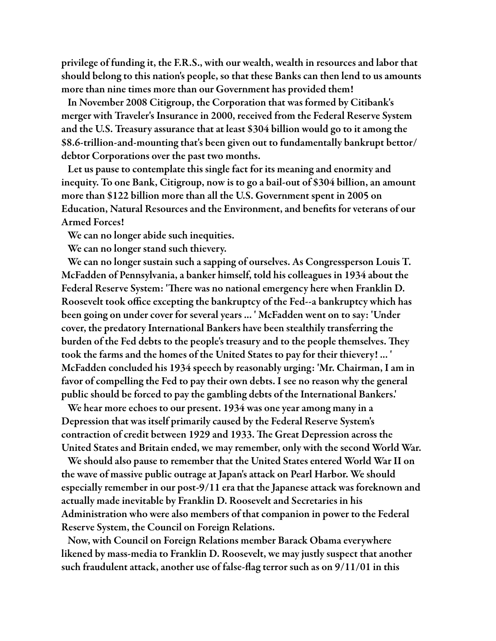privilege of funding it, the F.R.S., with our wealth, wealth in resources and labor that should belong to this nation's people, so that these Banks can then lend to us amounts more than nine times more than our Government has provided them!

 In November 2008 Citigroup, the Corporation that was formed by Citibank's merger with Traveler's Insurance in 2000, received from the Federal Reserve System and the U.S. Treasury assurance that at least \$304 billion would go to it among the \$8.6-trillion-and-mounting that's been given out to fundamentally bankrupt bettor/ debtor Corporations over the past two months.

 Let us pause to contemplate this single fact for its meaning and enormity and inequity. To one Bank, Citigroup, now is to go a bail-out of \$304 billion, an amount more than \$122 billion more than all the U.S. Government spent in 2005 on Education, Natural Resources and the Environment, and benefits for veterans of our Armed Forces!

We can no longer abide such inequities.

We can no longer stand such thievery.

 We can no longer sustain such a sapping of ourselves. As Congressperson Louis T. McFadden of Pennsylvania, a banker himself, told his colleagues in 1934 about the Federal Reserve System: 'There was no national emergency here when Franklin D. Roosevelt took office excepting the bankruptcy of the Fed--a bankruptcy which has been going on under cover for several years ... ' McFadden went on to say: 'Under cover, the predatory International Bankers have been stealthily transferring the burden of the Fed debts to the people's treasury and to the people themselves. They took the farms and the homes of the United States to pay for their thievery! ... ' McFadden concluded his 1934 speech by reasonably urging: 'Mr. Chairman, I am in favor of compelling the Fed to pay their own debts. I see no reason why the general public should be forced to pay the gambling debts of the International Bankers.'

 We hear more echoes to our present. 1934 was one year among many in a Depression that was itself primarily caused by the Federal Reserve System's contraction of credit between 1929 and 1933. The Great Depression across the United States and Britain ended, we may remember, only with the second World War.

 We should also pause to remember that the United States entered World War II on the wave of massive public outrage at Japan's attack on Pearl Harbor. We should especially remember in our post-9/11 era that the Japanese attack was foreknown and actually made inevitable by Franklin D. Roosevelt and Secretaries in his Administration who were also members of that companion in power to the Federal Reserve System, the Council on Foreign Relations.

 Now, with Council on Foreign Relations member Barack Obama everywhere likened by mass-media to Franklin D. Roosevelt, we may justly suspect that another such fraudulent attack, another use of false-flag terror such as on  $9/11/01$  in this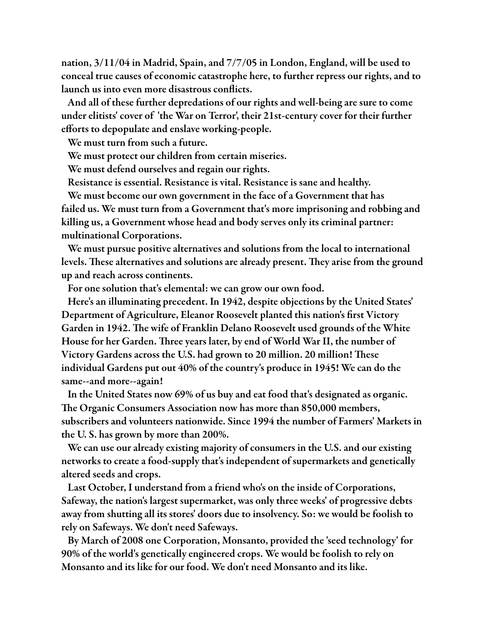nation, 3/11/04 in Madrid, Spain, and 7/7/05 in London, England, will be used to conceal true causes of economic catastrophe here, to further repress our rights, and to launch us into even more disastrous conflicts.

 And all of these further depredations of our rights and well-being are sure to come under elitists' cover of 'the War on Terror', their 21st-century cover for their further efforts to depopulate and enslave working-people.

We must turn from such a future.

We must protect our children from certain miseries.

We must defend ourselves and regain our rights.

Resistance is essential. Resistance is vital. Resistance is sane and healthy.

 We must become our own government in the face of a Government that has failed us. We must turn from a Government that's more imprisoning and robbing and killing us, a Government whose head and body serves only its criminal partner: multinational Corporations.

 We must pursue positive alternatives and solutions from the local to international levels. These alternatives and solutions are already present. They arise from the ground up and reach across continents.

For one solution that's elemental: we can grow our own food.

 Here's an illuminating precedent. In 1942, despite objections by the United States' Department of Agriculture, Eleanor Roosevelt planted this nation's first Victory Garden in 1942. The wife of Franklin Delano Roosevelt used grounds of the White House for her Garden. Three years later, by end of World War II, the number of Victory Gardens across the U.S. had grown to 20 million. 20 million! These individual Gardens put out 40% of the country's produce in 1945! We can do the same--and more--again!

 In the United States now 69% of us buy and eat food that's designated as organic. The Organic Consumers Association now has more than 850,000 members, subscribers and volunteers nationwide. Since 1994 the number of Farmers' Markets in the U. S. has grown by more than 200%.

 We can use our already existing majority of consumers in the U.S. and our existing networks to create a food-supply that's independent of supermarkets and genetically altered seeds and crops.

 Last October, I understand from a friend who's on the inside of Corporations, Safeway, the nation's largest supermarket, was only three weeks' of progressive debts away from shutting all its stores' doors due to insolvency. So: we would be foolish to rely on Safeways. We don't need Safeways.

 By March of 2008 one Corporation, Monsanto, provided the 'seed technology' for 90% of the world's genetically engineered crops. We would be foolish to rely on Monsanto and its like for our food. We don't need Monsanto and its like.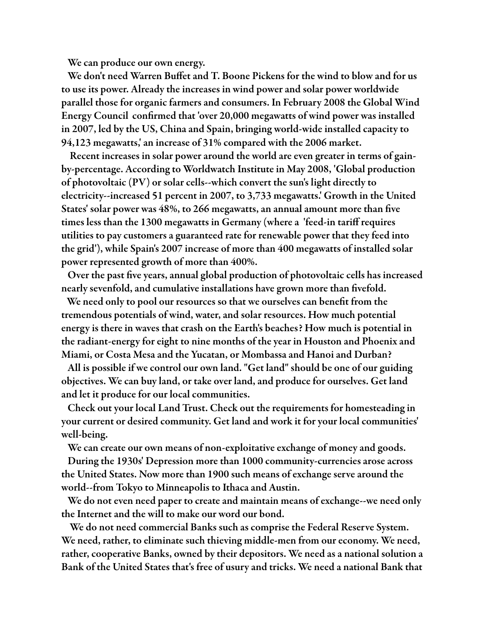We can produce our own energy.

We don't need Warren Buffet and T. Boone Pickens for the wind to blow and for us to use its power. Already the increases in wind power and solar power worldwide parallel those for organic farmers and consumers. In February 2008 the Global Wind Energy Council confirmed that 'over 20,000 megawatts of wind power was installed in 2007, led by the US, China and Spain, bringing world-wide installed capacity to 94,123 megawatts,' an increase of 31% compared with the 2006 market.

 Recent increases in solar power around the world are even greater in terms of gainby-percentage. According to Worldwatch Institute in May 2008, 'Global production of photovoltaic (PV) or solar cells--which convert the sun's light directly to electricity--increased 51 percent in 2007, to 3,733 megawatts.' Growth in the United States' solar power was 48%, to 266 megawatts, an annual amount more than five times less than the 1300 megawatts in Germany (where a 'feed-in tariff requires utilities to pay customers a guaranteed rate for renewable power that they feed into the grid'), while Spain's 2007 increase of more than 400 megawatts of installed solar power represented growth of more than 400%.

Over the past five years, annual global production of photovoltaic cells has increased nearly sevenfold, and cumulative installations have grown more than fivefold.

We need only to pool our resources so that we ourselves can benefit from the tremendous potentials of wind, water, and solar resources. How much potential energy is there in waves that crash on the Earth's beaches? How much is potential in the radiant-energy for eight to nine months of the year in Houston and Phoenix and Miami, or Costa Mesa and the Yucatan, or Mombassa and Hanoi and Durban?

 All is possible if we control our own land. "Get land" should be one of our guiding objectives. We can buy land, or take over land, and produce for ourselves. Get land and let it produce for our local communities.

 Check out your local Land Trust. Check out the requirements for homesteading in your current or desired community. Get land and work it for your local communities' well-being.

We can create our own means of non-exploitative exchange of money and goods.

 During the 1930s' Depression more than 1000 community-currencies arose across the United States. Now more than 1900 such means of exchange serve around the world--from Tokyo to Minneapolis to Ithaca and Austin.

 We do not even need paper to create and maintain means of exchange--we need only the Internet and the will to make our word our bond.

 We do not need commercial Banks such as comprise the Federal Reserve System. We need, rather, to eliminate such thieving middle-men from our economy. We need, rather, cooperative Banks, owned by their depositors. We need as a national solution a Bank of the United States that's free of usury and tricks. We need a national Bank that